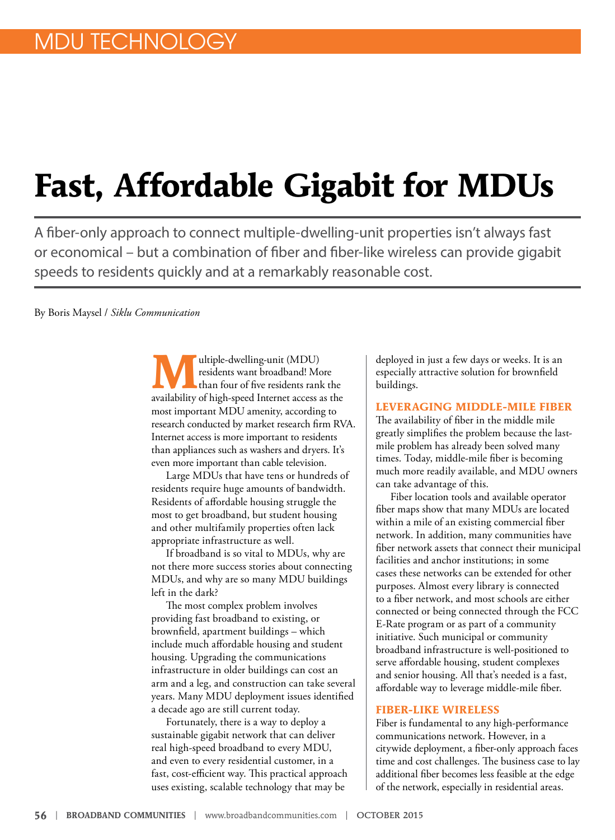# **Fast, Affordable Gigabit for MDUs**

A fiber-only approach to connect multiple-dwelling-unit properties isn't always fast or economical – but a combination of fiber and fiber-like wireless can provide gigabit speeds to residents quickly and at a remarkably reasonable cost.

By Boris Maysel / *Siklu Communication*

**M**ultiple-dwelling-unit (MDU) residents want broadband! More than four of five residents rank the availability of high-speed Internet access as the most important MDU amenity, according to research conducted by market research firm RVA. Internet access is more important to residents than appliances such as washers and dryers. It's even more important than cable television.

Large MDUs that have tens or hundreds of residents require huge amounts of bandwidth. Residents of affordable housing struggle the most to get broadband, but student housing and other multifamily properties often lack appropriate infrastructure as well.

If broadband is so vital to MDUs, why are not there more success stories about connecting MDUs, and why are so many MDU buildings left in the dark?

The most complex problem involves providing fast broadband to existing, or brownfield, apartment buildings – which include much affordable housing and student housing. Upgrading the communications infrastructure in older buildings can cost an arm and a leg, and construction can take several years. Many MDU deployment issues identified a decade ago are still current today.

Fortunately, there is a way to deploy a sustainable gigabit network that can deliver real high-speed broadband to every MDU, and even to every residential customer, in a fast, cost-efficient way. This practical approach uses existing, scalable technology that may be

deployed in just a few days or weeks. It is an especially attractive solution for brownfield buildings.

## **LEVERAGING MIDDLE-MILE FIBER**

The availability of fiber in the middle mile greatly simplifies the problem because the lastmile problem has already been solved many times. Today, middle-mile fiber is becoming much more readily available, and MDU owners can take advantage of this.

Fiber location tools and available operator fiber maps show that many MDUs are located within a mile of an existing commercial fiber network. In addition, many communities have fiber network assets that connect their municipal facilities and anchor institutions; in some cases these networks can be extended for other purposes. Almost every library is connected to a fiber network, and most schools are either connected or being connected through the FCC E-Rate program or as part of a community initiative. Such municipal or community broadband infrastructure is well-positioned to serve affordable housing, student complexes and senior housing. All that's needed is a fast, affordable way to leverage middle-mile fiber.

# **FIBER-LIKE WIRELESS**

Fiber is fundamental to any high-performance communications network. However, in a citywide deployment, a fiber-only approach faces time and cost challenges. The business case to lay additional fiber becomes less feasible at the edge of the network, especially in residential areas.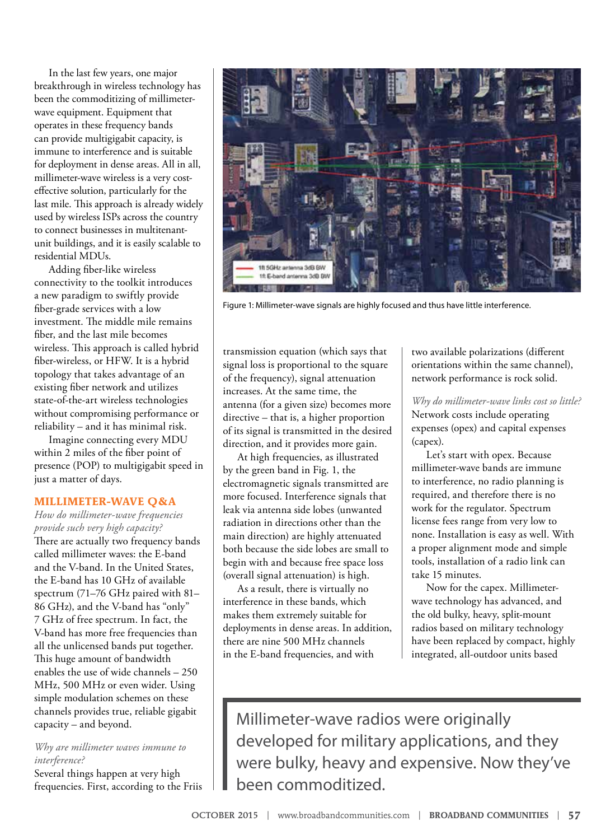In the last few years, one major breakthrough in wireless technology has been the commoditizing of millimeterwave equipment. Equipment that operates in these frequency bands can provide multigigabit capacity, is immune to interference and is suitable for deployment in dense areas. All in all, millimeter-wave wireless is a very costeffective solution, particularly for the last mile. This approach is already widely used by wireless ISPs across the country to connect businesses in multitenantunit buildings, and it is easily scalable to residential MDUs.

Adding fiber-like wireless connectivity to the toolkit introduces a new paradigm to swiftly provide fiber-grade services with a low investment. The middle mile remains fiber, and the last mile becomes wireless. This approach is called hybrid fiber-wireless, or HFW. It is a hybrid topology that takes advantage of an existing fiber network and utilizes state-of-the-art wireless technologies without compromising performance or reliability – and it has minimal risk.

Imagine connecting every MDU within 2 miles of the fiber point of presence (POP) to multigigabit speed in just a matter of days.

#### **MILLIMETER-WAVE Q&A**

*How do millimeter-wave frequencies provide such very high capacity?* There are actually two frequency bands called millimeter waves: the E-band and the V-band. In the United States, the E-band has 10 GHz of available spectrum (71–76 GHz paired with 81– 86 GHz), and the V-band has "only" 7 GHz of free spectrum. In fact, the V-band has more free frequencies than all the unlicensed bands put together. This huge amount of bandwidth enables the use of wide channels – 250 MHz, 500 MHz or even wider. Using simple modulation schemes on these channels provides true, reliable gigabit capacity – and beyond.

## *Why are millimeter waves immune to interference?*

Several things happen at very high frequencies. First, according to the Friis



Figure 1: Millimeter-wave signals are highly focused and thus have little interference.

transmission equation (which says that signal loss is proportional to the square of the frequency), signal attenuation increases. At the same time, the antenna (for a given size) becomes more directive – that is, a higher proportion of its signal is transmitted in the desired direction, and it provides more gain.

At high frequencies, as illustrated by the green band in Fig. 1, the electromagnetic signals transmitted are more focused. Interference signals that leak via antenna side lobes (unwanted radiation in directions other than the main direction) are highly attenuated both because the side lobes are small to begin with and because free space loss (overall signal attenuation) is high.

As a result, there is virtually no interference in these bands, which makes them extremely suitable for deployments in dense areas. In addition, there are nine 500 MHz channels in the E-band frequencies, and with

two available polarizations (different orientations within the same channel), network performance is rock solid.

*Why do millimeter-wave links cost so little?* Network costs include operating expenses (opex) and capital expenses (capex).

Let's start with opex. Because millimeter-wave bands are immune to interference, no radio planning is required, and therefore there is no work for the regulator. Spectrum license fees range from very low to none. Installation is easy as well. With a proper alignment mode and simple tools, installation of a radio link can take 15 minutes.

Now for the capex. Millimeterwave technology has advanced, and the old bulky, heavy, split-mount radios based on military technology have been replaced by compact, highly integrated, all-outdoor units based

Millimeter-wave radios were originally developed for military applications, and they were bulky, heavy and expensive. Now they've been commoditized.